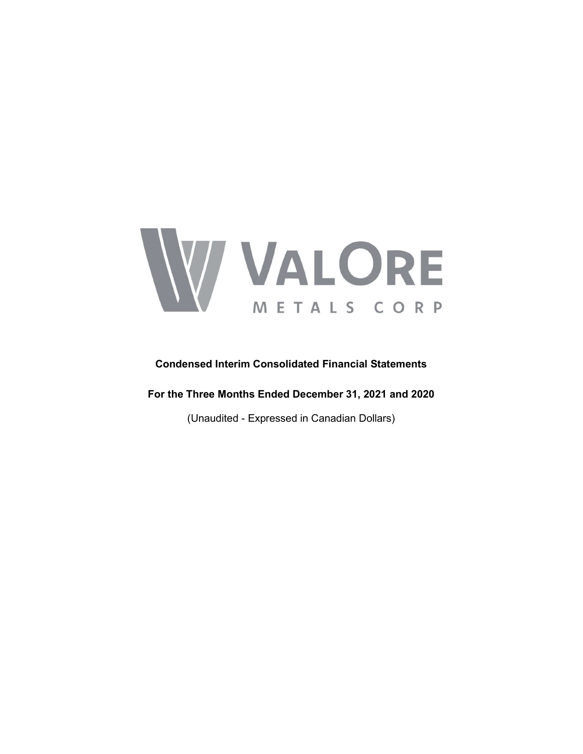

# Condensed Interim Consolidated Financial Statements

For the Three Months Ended December 31, 2021 and 2020

(Unaudited - Expressed in Canadian Dollars)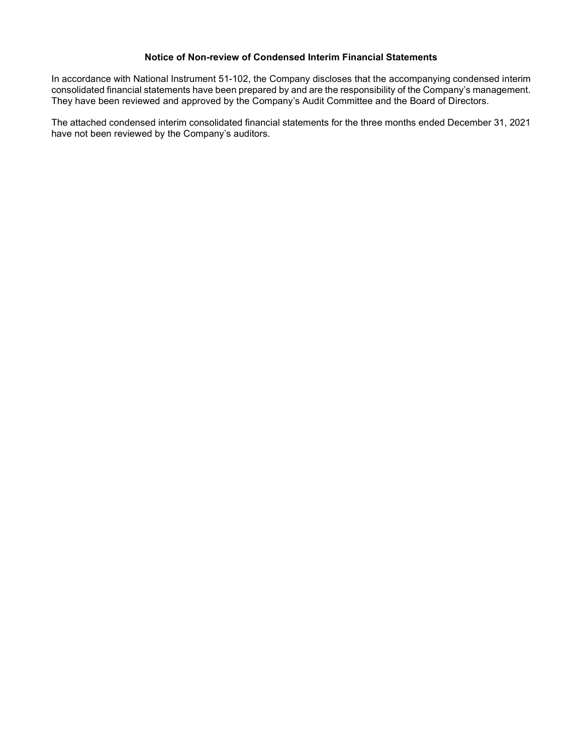## Notice of Non-review of Condensed Interim Financial Statements

In accordance with National Instrument 51-102, the Company discloses that the accompanying condensed interim consolidated financial statements have been prepared by and are the responsibility of the Company's management. They have been reviewed and approved by the Company's Audit Committee and the Board of Directors.

The attached condensed interim consolidated financial statements for the three months ended December 31, 2021 have not been reviewed by the Company's auditors.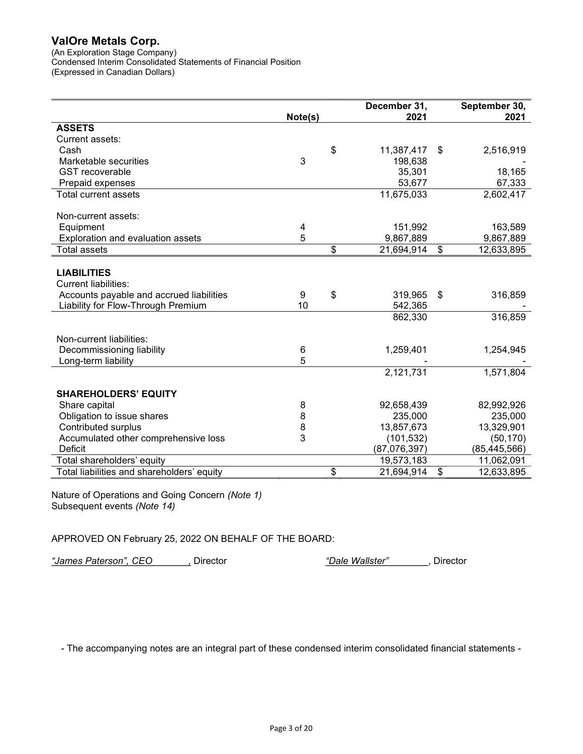(An Exploration Stage Company)

Condensed Interim Consolidated Statements of Financial Position (Expressed in Canadian Dollars)

|                                            |         | December 31,     | September 30,    |
|--------------------------------------------|---------|------------------|------------------|
|                                            | Note(s) | 2021             | 2021             |
| <b>ASSETS</b>                              |         |                  |                  |
| Current assets:                            |         |                  |                  |
| Cash                                       |         | \$<br>11,387,417 | \$<br>2,516,919  |
| Marketable securities                      | 3       | 198,638          |                  |
| <b>GST</b> recoverable                     |         | 35,301           | 18,165           |
| Prepaid expenses                           |         | 53,677           | 67,333           |
| <b>Total current assets</b>                |         | 11,675,033       | 2,602,417        |
| Non-current assets:                        |         |                  |                  |
| Equipment                                  | 4       | 151,992          | 163,589          |
| Exploration and evaluation assets          | 5       | 9,867,889        | 9,867,889        |
| <b>Total assets</b>                        |         | \$<br>21,694,914 | \$<br>12,633,895 |
|                                            |         |                  |                  |
| <b>LIABILITIES</b>                         |         |                  |                  |
| <b>Current liabilities:</b>                |         |                  |                  |
| Accounts payable and accrued liabilities   | 9       | \$<br>319,965    | \$<br>316,859    |
| Liability for Flow-Through Premium         | 10      | 542,365          |                  |
|                                            |         | 862,330          | 316,859          |
|                                            |         |                  |                  |
| Non-current liabilities:                   |         |                  |                  |
| Decommissioning liability                  | 6       | 1,259,401        | 1,254,945        |
| Long-term liability                        | 5       |                  |                  |
|                                            |         | 2,121,731        | 1,571,804        |
|                                            |         |                  |                  |
| <b>SHAREHOLDERS' EQUITY</b>                |         |                  |                  |
| Share capital                              | 8       | 92,658,439       | 82,992,926       |
| Obligation to issue shares                 | 8       | 235,000          | 235,000          |
| <b>Contributed surplus</b>                 | 8       | 13,857,673       | 13,329,901       |
| Accumulated other comprehensive loss       | 3       | (101, 532)       | (50, 170)        |
| <b>Deficit</b>                             |         | (87,076,397)     | (85, 445, 566)   |
| Total shareholders' equity                 |         | 19,573,183       | 11,062,091       |
| Total liabilities and shareholders' equity |         | \$<br>21,694,914 | \$<br>12,633,895 |

Nature of Operations and Going Concern (Note 1) Subsequent events (Note 14)

# APPROVED ON February 25, 2022 ON BEHALF OF THE BOARD:

"James Paterson", CEO , Director (Dale Wallster", Director in the settlement of the Mallster"), Director

- The accompanying notes are an integral part of these condensed interim consolidated financial statements -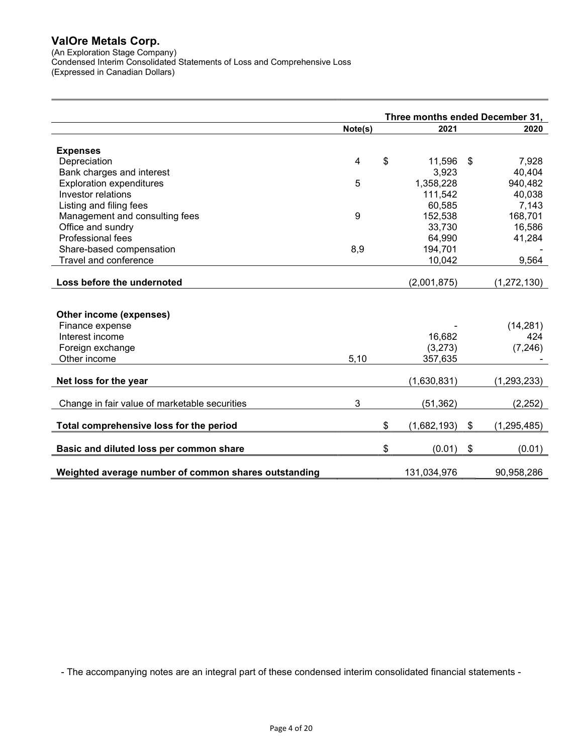(An Exploration Stage Company)

Condensed Interim Consolidated Statements of Loss and Comprehensive Loss (Expressed in Canadian Dollars)

Three months ended December 31, Note(s) 2021 2020 Expenses Depreciation 4 \$ 11,596 \$ 7,928 Bank charges and interest 3,923 Exploration expenditures 6 1,358,228 940,482<br>
Investor relations 40,038 111,542 40,038 **Investor relations** 111,542 Listing and filing fees 60,585 7,143 Management and consulting fees 168,701 and the set of the set of the set of the set of the set of the set of the set of the set of the set of the set of the set of the set of the set of the set of the set of the set of the Office and sundry **33,730** 16,586 Professional fees 41,284 Share-based compensation 6.8 and 5.9 194,701  $\overline{8,9}$  194,701 Travel and conference 2008 9,564 Loss before the undernoted (2,001,875) (1,272,130) Other income (expenses) Finance expense (14,281) Interest income 16,682 424 Foreign exchange (3,273) (7,246) Other income 5,10 357,635 -**Net loss for the year (1,630,831)** (1,293,233) Change in fair value of marketable securities 3 (51,362) (2,252) Total comprehensive loss for the period  $$(1,682,193)$  \$ $$(1,295,485)$ Basic and diluted loss per common share the state that the set of  $(0.01)$  \$ (0.01) (0.01) Weighted average number of common shares outstanding 131,034,976 90,958,286

- The accompanying notes are an integral part of these condensed interim consolidated financial statements -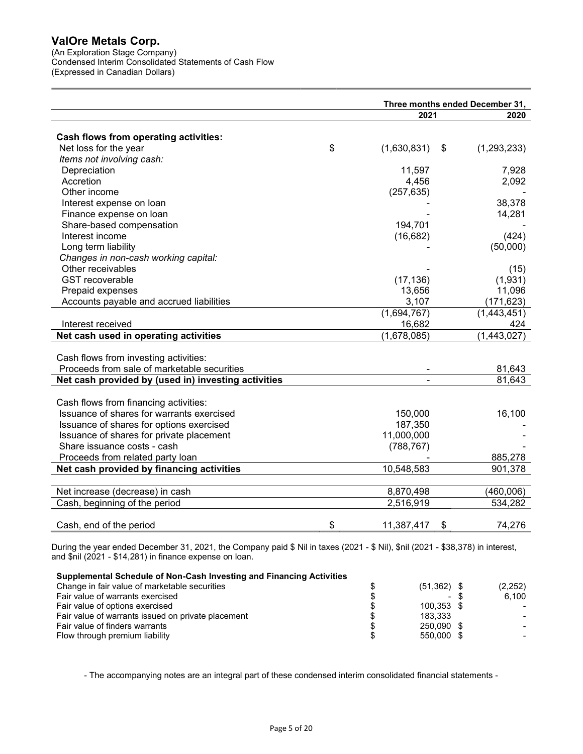(An Exploration Stage Company) Condensed Interim Consolidated Statements of Cash Flow (Expressed in Canadian Dollars)

|                                                     | Three months ended December 31, |                          |             |  |  |  |
|-----------------------------------------------------|---------------------------------|--------------------------|-------------|--|--|--|
|                                                     |                                 | 2021                     | 2020        |  |  |  |
|                                                     |                                 |                          |             |  |  |  |
| Cash flows from operating activities:               |                                 |                          |             |  |  |  |
| Net loss for the year                               | \$                              | (1,630,831)<br>\$        | (1,293,233) |  |  |  |
| Items not involving cash:                           |                                 |                          |             |  |  |  |
| Depreciation                                        |                                 | 11,597                   | 7,928       |  |  |  |
| Accretion                                           |                                 | 4,456                    | 2,092       |  |  |  |
| Other income                                        |                                 | (257, 635)               |             |  |  |  |
| Interest expense on loan                            |                                 |                          | 38,378      |  |  |  |
| Finance expense on loan                             |                                 |                          | 14,281      |  |  |  |
| Share-based compensation                            |                                 | 194,701                  |             |  |  |  |
| Interest income                                     |                                 | (16, 682)                | (424)       |  |  |  |
| Long term liability                                 |                                 |                          | (50,000)    |  |  |  |
| Changes in non-cash working capital:                |                                 |                          |             |  |  |  |
| Other receivables                                   |                                 |                          | (15)        |  |  |  |
| <b>GST</b> recoverable                              |                                 | (17, 136)                | (1,931)     |  |  |  |
| Prepaid expenses                                    |                                 | 13,656                   | 11,096      |  |  |  |
| Accounts payable and accrued liabilities            |                                 | 3,107                    | (171, 623)  |  |  |  |
|                                                     |                                 | (1,694,767)              | (1,443,451) |  |  |  |
| Interest received                                   |                                 | 16,682                   | 424         |  |  |  |
| Net cash used in operating activities               |                                 | $\overline{(1,678,085)}$ | (1,443,027) |  |  |  |
|                                                     |                                 |                          |             |  |  |  |
| Cash flows from investing activities:               |                                 |                          |             |  |  |  |
| Proceeds from sale of marketable securities         |                                 |                          | 81,643      |  |  |  |
| Net cash provided by (used in) investing activities |                                 |                          | 81,643      |  |  |  |
|                                                     |                                 |                          |             |  |  |  |
| Cash flows from financing activities:               |                                 |                          |             |  |  |  |
| Issuance of shares for warrants exercised           |                                 | 150,000                  | 16,100      |  |  |  |
| Issuance of shares for options exercised            |                                 | 187,350                  |             |  |  |  |
| Issuance of shares for private placement            |                                 | 11,000,000               |             |  |  |  |
| Share issuance costs - cash                         |                                 | (788, 767)               |             |  |  |  |
| Proceeds from related party loan                    |                                 |                          | 885,278     |  |  |  |
| Net cash provided by financing activities           |                                 | 10,548,583               | 901,378     |  |  |  |
|                                                     |                                 |                          |             |  |  |  |
| Net increase (decrease) in cash                     |                                 | 8,870,498                | (460,006)   |  |  |  |
| Cash, beginning of the period                       |                                 | 2,516,919                | 534,282     |  |  |  |
|                                                     |                                 |                          |             |  |  |  |
| Cash, end of the period                             | \$                              | 11,387,417<br>\$         | 74,276      |  |  |  |

During the year ended December 31, 2021, the Company paid \$ Nil in taxes (2021 - \$ Nil), \$nil (2021 - \$38,378) in interest, and \$nil (2021 - \$14,281) in finance expense on loan.

#### Supplemental Schedule of Non-Cash Investing and Financing Activities

| Change in fair value of marketable securities      | $(51,362)$ \$ | (2,252) |
|----------------------------------------------------|---------------|---------|
| Fair value of warrants exercised                   | $\sim$        | 6.100   |
| Fair value of options exercised                    | 100.353 \$    |         |
| Fair value of warrants issued on private placement | 183.333       |         |
| Fair value of finders warrants                     | 250.090 \$    |         |
| Flow through premium liability                     | 550.000 \$    |         |

- The accompanying notes are an integral part of these condensed interim consolidated financial statements -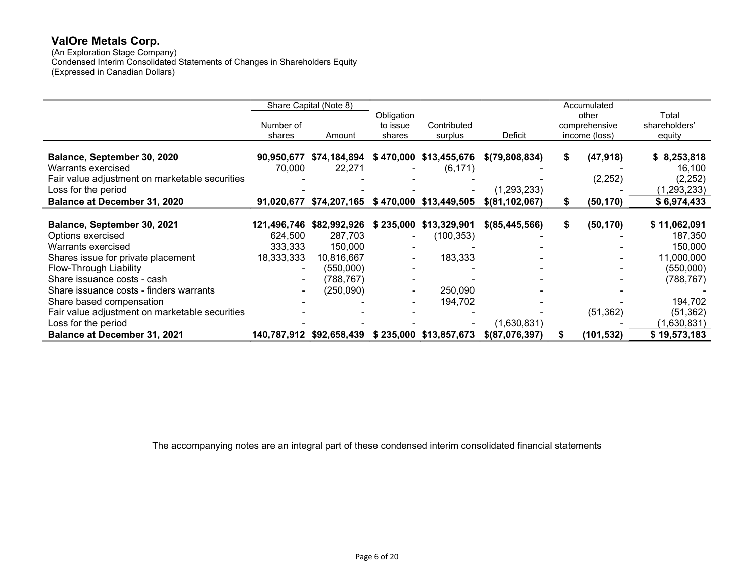(An Exploration Stage Company) Condensed Interim Consolidated Statements of Changes in Shareholders Equity (Expressed in Canadian Dollars)

|                                                |            | Share Capital (Note 8)   |                |                        |                   | Accumulated     |               |
|------------------------------------------------|------------|--------------------------|----------------|------------------------|-------------------|-----------------|---------------|
|                                                |            |                          | Obligation     |                        |                   | other           | Total         |
|                                                | Number of  |                          | to issue       | Contributed            |                   | comprehensive   | shareholders' |
|                                                | shares     | Amount                   | shares         | surplus                | Deficit           | income (loss)   | equity        |
|                                                |            |                          |                |                        |                   |                 |               |
| Balance, September 30, 2020                    |            | 90,950,677 \$74,184,894  |                | \$470,000 \$13,455,676 | \$(79,808,834)    | \$<br>(47, 918) | \$8,253,818   |
| Warrants exercised                             | 70,000     | 22,271                   |                | (6, 171)               |                   |                 | 16,100        |
| Fair value adjustment on marketable securities |            |                          |                |                        |                   | (2, 252)        | (2, 252)      |
| Loss for the period                            |            |                          |                |                        | (1, 293, 233)     |                 | (1,293,233)   |
| Balance at December 31, 2020                   |            | 91,020,677 \$74,207,165  |                | \$470,000 \$13,449,505 | $$$ (81,102,067)  | \$<br>(50, 170) | \$6,974,433   |
|                                                |            |                          |                |                        |                   |                 |               |
| Balance, September 30, 2021                    |            | 121,496,746 \$82,992,926 | \$235,000      | \$13,329,901           | \$ (85, 445, 566) | \$<br>(50, 170) | \$11,062,091  |
| Options exercised                              | 624,500    | 287,703                  |                | (100,353)              |                   |                 | 187,350       |
| Warrants exercised                             | 333,333    | 150,000                  |                |                        |                   |                 | 150,000       |
| Shares issue for private placement             | 18,333,333 | 10,816,667               | $\blacksquare$ | 183,333                |                   |                 | 11,000,000    |
| Flow-Through Liability                         |            | (550,000)                |                |                        |                   |                 | (550,000)     |
| Share issuance costs - cash                    |            | (788, 767)               |                |                        |                   |                 | (788, 767)    |
| Share issuance costs - finders warrants        |            | (250,090)                |                | 250,090                |                   |                 |               |
| Share based compensation                       |            |                          |                | 194,702                |                   |                 | 194,702       |
| Fair value adjustment on marketable securities |            |                          |                |                        |                   | (51, 362)       | (51, 362)     |
| Loss for the period                            |            |                          |                |                        | (1,630,831)       |                 | (1,630,831)   |
| <b>Balance at December 31, 2021</b>            |            | 140,787,912 \$92,658,439 |                | \$235,000 \$13,857,673 | \$ (87,076,397)   | (101,532)       | \$19,573,183  |

The accompanying notes are an integral part of these condensed interim consolidated financial statements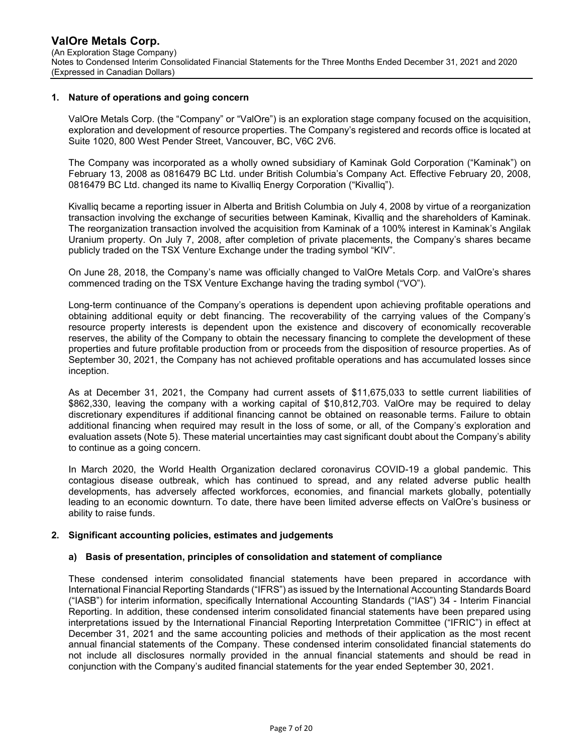#### 1. Nature of operations and going concern

ValOre Metals Corp. (the "Company" or "ValOre") is an exploration stage company focused on the acquisition, exploration and development of resource properties. The Company's registered and records office is located at Suite 1020, 800 West Pender Street, Vancouver, BC, V6C 2V6.

The Company was incorporated as a wholly owned subsidiary of Kaminak Gold Corporation ("Kaminak") on February 13, 2008 as 0816479 BC Ltd. under British Columbia's Company Act. Effective February 20, 2008, 0816479 BC Ltd. changed its name to Kivalliq Energy Corporation ("Kivalliq").

Kivalliq became a reporting issuer in Alberta and British Columbia on July 4, 2008 by virtue of a reorganization transaction involving the exchange of securities between Kaminak, Kivalliq and the shareholders of Kaminak. The reorganization transaction involved the acquisition from Kaminak of a 100% interest in Kaminak's Angilak Uranium property. On July 7, 2008, after completion of private placements, the Company's shares became publicly traded on the TSX Venture Exchange under the trading symbol "KIV".

On June 28, 2018, the Company's name was officially changed to ValOre Metals Corp. and ValOre's shares commenced trading on the TSX Venture Exchange having the trading symbol ("VO").

Long-term continuance of the Company's operations is dependent upon achieving profitable operations and obtaining additional equity or debt financing. The recoverability of the carrying values of the Company's resource property interests is dependent upon the existence and discovery of economically recoverable reserves, the ability of the Company to obtain the necessary financing to complete the development of these properties and future profitable production from or proceeds from the disposition of resource properties. As of September 30, 2021, the Company has not achieved profitable operations and has accumulated losses since inception.

As at December 31, 2021, the Company had current assets of \$11,675,033 to settle current liabilities of \$862,330, leaving the company with a working capital of \$10,812,703. ValOre may be required to delay discretionary expenditures if additional financing cannot be obtained on reasonable terms. Failure to obtain additional financing when required may result in the loss of some, or all, of the Company's exploration and evaluation assets (Note 5). These material uncertainties may cast significant doubt about the Company's ability to continue as a going concern.

In March 2020, the World Health Organization declared coronavirus COVID-19 a global pandemic. This contagious disease outbreak, which has continued to spread, and any related adverse public health developments, has adversely affected workforces, economies, and financial markets globally, potentially leading to an economic downturn. To date, there have been limited adverse effects on ValOre's business or ability to raise funds.

#### 2. Significant accounting policies, estimates and judgements

## a) Basis of presentation, principles of consolidation and statement of compliance

These condensed interim consolidated financial statements have been prepared in accordance with International Financial Reporting Standards ("IFRS") as issued by the International Accounting Standards Board ("IASB") for interim information, specifically International Accounting Standards ("IAS") 34 - Interim Financial Reporting. In addition, these condensed interim consolidated financial statements have been prepared using interpretations issued by the International Financial Reporting Interpretation Committee ("IFRIC") in effect at December 31, 2021 and the same accounting policies and methods of their application as the most recent annual financial statements of the Company. These condensed interim consolidated financial statements do not include all disclosures normally provided in the annual financial statements and should be read in conjunction with the Company's audited financial statements for the year ended September 30, 2021.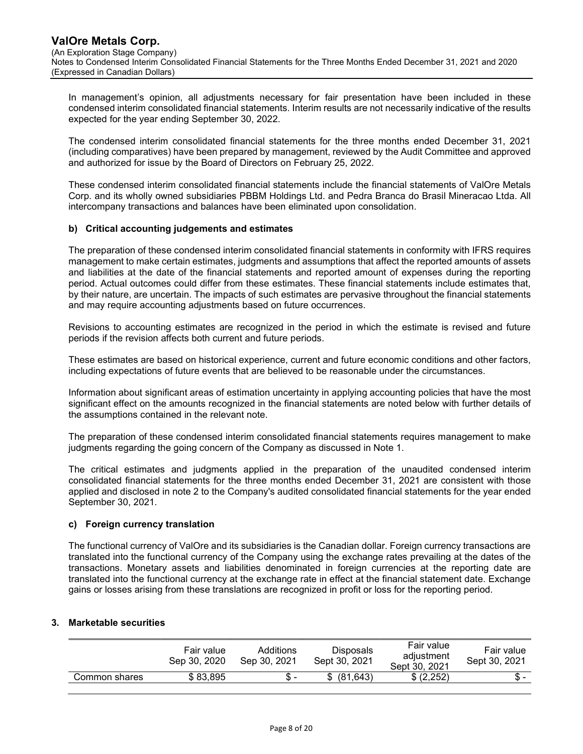In management's opinion, all adjustments necessary for fair presentation have been included in these condensed interim consolidated financial statements. Interim results are not necessarily indicative of the results expected for the year ending September 30, 2022.

The condensed interim consolidated financial statements for the three months ended December 31, 2021 (including comparatives) have been prepared by management, reviewed by the Audit Committee and approved and authorized for issue by the Board of Directors on February 25, 2022.

These condensed interim consolidated financial statements include the financial statements of ValOre Metals Corp. and its wholly owned subsidiaries PBBM Holdings Ltd. and Pedra Branca do Brasil Mineracao Ltda. All intercompany transactions and balances have been eliminated upon consolidation.

## b) Critical accounting judgements and estimates

The preparation of these condensed interim consolidated financial statements in conformity with IFRS requires management to make certain estimates, judgments and assumptions that affect the reported amounts of assets and liabilities at the date of the financial statements and reported amount of expenses during the reporting period. Actual outcomes could differ from these estimates. These financial statements include estimates that, by their nature, are uncertain. The impacts of such estimates are pervasive throughout the financial statements and may require accounting adjustments based on future occurrences.

Revisions to accounting estimates are recognized in the period in which the estimate is revised and future periods if the revision affects both current and future periods.

These estimates are based on historical experience, current and future economic conditions and other factors, including expectations of future events that are believed to be reasonable under the circumstances.

Information about significant areas of estimation uncertainty in applying accounting policies that have the most significant effect on the amounts recognized in the financial statements are noted below with further details of the assumptions contained in the relevant note.

The preparation of these condensed interim consolidated financial statements requires management to make judgments regarding the going concern of the Company as discussed in Note 1.

The critical estimates and judgments applied in the preparation of the unaudited condensed interim consolidated financial statements for the three months ended December 31, 2021 are consistent with those applied and disclosed in note 2 to the Company's audited consolidated financial statements for the year ended September 30, 2021.

## c) Foreign currency translation

The functional currency of ValOre and its subsidiaries is the Canadian dollar. Foreign currency transactions are translated into the functional currency of the Company using the exchange rates prevailing at the dates of the transactions. Monetary assets and liabilities denominated in foreign currencies at the reporting date are translated into the functional currency at the exchange rate in effect at the financial statement date. Exchange gains or losses arising from these translations are recognized in profit or loss for the reporting period.

# 3. Marketable securities

| Fair value<br>Sep 30, 2020 | Additions<br>Sep 30, 2021 | Disposals<br>Sept 30, 2021 | Fair value<br>adiustment<br>Sept 30, 2021 | Fair value<br>Sept 30, 2021 |
|----------------------------|---------------------------|----------------------------|-------------------------------------------|-----------------------------|
| \$83.895<br>Common shares  |                           | (81.643)<br>\$.            | \$ (2.252)                                | Տ. -                        |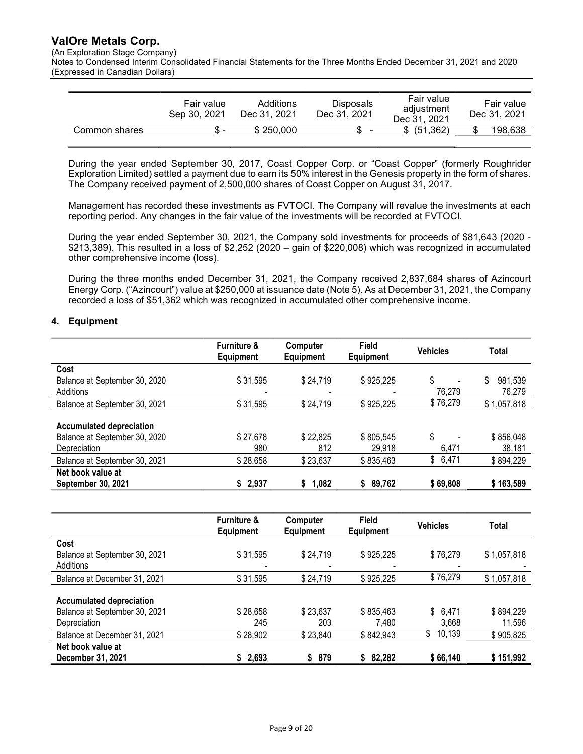(An Exploration Stage Company)

Notes to Condensed Interim Consolidated Financial Statements for the Three Months Ended December 31, 2021 and 2020 (Expressed in Canadian Dollars)

|               | Fair value<br>Sep 30, 2021 | Additions<br>Dec 31, 2021 | <b>Disposals</b><br>Dec 31, 2021 | Fair value<br>adiustment<br>Dec 31, 2021 | Fair value<br>Dec 31, 2021 |
|---------------|----------------------------|---------------------------|----------------------------------|------------------------------------------|----------------------------|
| Common shares |                            | \$250,000                 | $\blacksquare$                   | \$ (51.362)                              | 198,638                    |

During the year ended September 30, 2017, Coast Copper Corp. or "Coast Copper" (formerly Roughrider Exploration Limited) settled a payment due to earn its 50% interest in the Genesis property in the form of shares. The Company received payment of 2,500,000 shares of Coast Copper on August 31, 2017.

Management has recorded these investments as FVTOCI. The Company will revalue the investments at each reporting period. Any changes in the fair value of the investments will be recorded at FVTOCI.

During the year ended September 30, 2021, the Company sold investments for proceeds of \$81,643 (2020 - \$213,389). This resulted in a loss of \$2,252 (2020 – gain of \$220,008) which was recognized in accumulated other comprehensive income (loss).

During the three months ended December 31, 2021, the Company received 2,837,684 shares of Azincourt Energy Corp. ("Azincourt") value at \$250,000 at issuance date (Note 5). As at December 31, 2021, the Company recorded a loss of \$51,362 which was recognized in accumulated other comprehensive income.

## 4. Equipment

|                                 | <b>Furniture &amp;</b><br>Equipment | <b>Computer</b><br><b>Equipment</b> | <b>Field</b><br>Equipment | <b>Vehicles</b>                | Total         |
|---------------------------------|-------------------------------------|-------------------------------------|---------------------------|--------------------------------|---------------|
| Cost                            |                                     |                                     |                           |                                |               |
| Balance at September 30, 2020   | \$31,595                            | \$24,719                            | \$925,225                 | \$<br>$\overline{\phantom{0}}$ | 981,539<br>\$ |
| Additions                       |                                     | -                                   | $\overline{\phantom{a}}$  | 76,279                         | 76,279        |
| Balance at September 30, 2021   | \$31,595                            | \$24,719                            | \$925,225                 | \$76,279                       | \$1,057,818   |
|                                 |                                     |                                     |                           |                                |               |
| <b>Accumulated depreciation</b> |                                     |                                     |                           |                                |               |
| Balance at September 30, 2020   | \$27,678                            | \$22,825                            | \$805,545                 | \$                             | \$856,048     |
| Depreciation                    | 980                                 | 812                                 | 29,918                    | 6,471                          | 38,181        |
| Balance at September 30, 2021   | \$28,658                            | \$23,637                            | \$835,463                 | \$6,471                        | \$894,229     |
| Net book value at               |                                     |                                     |                           |                                |               |
| September 30, 2021              | \$2,937                             | 1,082<br>S.                         | 89,762<br>S               | \$69,808                       | \$163,589     |

|                                                                                  | <b>Furniture &amp;</b><br><b>Equipment</b> | Computer<br><b>Equipment</b> | <b>Field</b><br><b>Equipment</b> | <b>Vehicles</b>      | Total               |
|----------------------------------------------------------------------------------|--------------------------------------------|------------------------------|----------------------------------|----------------------|---------------------|
| Cost<br>Balance at September 30, 2021                                            | \$31,595                                   | \$24,719                     | \$925,225                        | \$76,279             | \$1,057,818         |
| Additions<br>Balance at December 31, 2021                                        | \$31,595                                   | \$24,719                     | \$925,225                        | \$76,279             | \$1,057,818         |
| <b>Accumulated depreciation</b><br>Balance at September 30, 2021<br>Depreciation | \$28,658<br>245                            | \$23,637<br>203              | \$835,463<br>7,480               | \$<br>6,471<br>3,668 | \$894,229<br>11,596 |
| Balance at December 31, 2021                                                     | \$28,902                                   | \$23,840                     | \$842,943                        | 10,139<br>\$         | \$905,825           |
| Net book value at<br>December 31, 2021                                           | \$2,693                                    | 879<br>\$                    | 82,282<br>S.                     | \$66,140             | \$151,992           |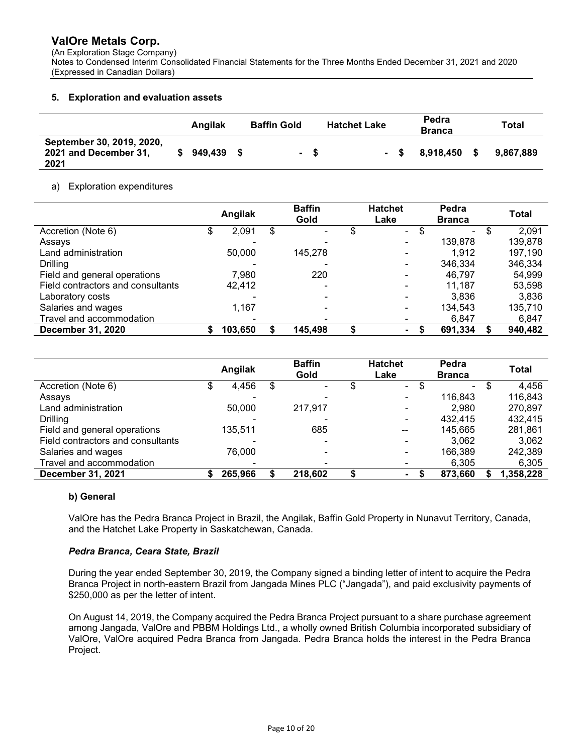(An Exploration Stage Company)

Notes to Condensed Interim Consolidated Financial Statements for the Three Months Ended December 31, 2021 and 2020 (Expressed in Canadian Dollars)

# 5. Exploration and evaluation assets

|                                                            | Angilak | <b>Baffin Gold</b> |      | <b>Hatchet Lake</b> | Pedra<br><b>Branca</b> | Total     |
|------------------------------------------------------------|---------|--------------------|------|---------------------|------------------------|-----------|
| September 30, 2019, 2020,<br>2021 and December 31,<br>2021 | 949,439 |                    | - \$ | - \$                | 8.918.450              | 9.867.889 |

## a) Exploration expenditures

|                                   |   | Angilak | <b>Baffin</b><br>Gold | <b>Hatchet</b><br>Lake | Pedra<br><b>Branca</b> |   | <b>Total</b> |
|-----------------------------------|---|---------|-----------------------|------------------------|------------------------|---|--------------|
| Accretion (Note 6)                |   | 2,091   | \$                    | \$<br>$\blacksquare$   | ۰.                     | ъ | 2,091        |
| Assays                            |   |         | $\blacksquare$        |                        | 139,878                |   | 139,878      |
| Land administration               |   | 50,000  | 145.278               |                        | 1.912                  |   | 197,190      |
| <b>Drilling</b>                   |   |         |                       |                        | 346,334                |   | 346,334      |
| Field and general operations      |   | 7,980   | 220                   |                        | 46.797                 |   | 54,999       |
| Field contractors and consultants |   | 42,412  | -                     |                        | 11.187                 |   | 53,598       |
| Laboratory costs                  |   |         |                       |                        | 3.836                  |   | 3,836        |
| Salaries and wages                |   | 1,167   |                       |                        | 134.543                |   | 135,710      |
| Travel and accommodation          |   |         |                       |                        | 6,847                  |   | 6,847        |
| <b>December 31, 2020</b>          | S | 103,650 | 145,498               | ۰.                     | 691,334                |   | 940,482      |

|                                   | Angilak |   | <b>Baffin</b><br>Gold |    | <b>Hatchet</b><br>Lake   | Pedra<br><b>Branca</b> | Total     |
|-----------------------------------|---------|---|-----------------------|----|--------------------------|------------------------|-----------|
| Accretion (Note 6)                | 4,456   | S | $\blacksquare$        | \$ | \$<br>$\blacksquare$     | $\blacksquare$         | 4,456     |
| Assays                            |         |   |                       |    |                          | 116.843                | 116,843   |
| Land administration               | 50,000  |   | 217.917               |    |                          | 2.980                  | 270.897   |
| <b>Drilling</b>                   |         |   |                       |    |                          | 432.415                | 432,415   |
| Field and general operations      | 135,511 |   | 685                   |    |                          | 145.665                | 281,861   |
| Field contractors and consultants |         |   | $\blacksquare$        |    | $\overline{\phantom{0}}$ | 3.062                  | 3,062     |
| Salaries and wages                | 76,000  |   | $\,$                  |    |                          | 166.389                | 242,389   |
| Travel and accommodation          |         |   | $\blacksquare$        |    |                          | 6,305                  | 6,305     |
| <b>December 31, 2021</b>          | 265,966 |   | 218,602               | æ  | ٠.                       | 873.660                | 1,358,228 |

# b) General

ValOre has the Pedra Branca Project in Brazil, the Angilak, Baffin Gold Property in Nunavut Territory, Canada, and the Hatchet Lake Property in Saskatchewan, Canada.

## Pedra Branca, Ceara State, Brazil

During the year ended September 30, 2019, the Company signed a binding letter of intent to acquire the Pedra Branca Project in north-eastern Brazil from Jangada Mines PLC ("Jangada"), and paid exclusivity payments of \$250,000 as per the letter of intent.

On August 14, 2019, the Company acquired the Pedra Branca Project pursuant to a share purchase agreement among Jangada, ValOre and PBBM Holdings Ltd., a wholly owned British Columbia incorporated subsidiary of ValOre, ValOre acquired Pedra Branca from Jangada. Pedra Branca holds the interest in the Pedra Branca Project.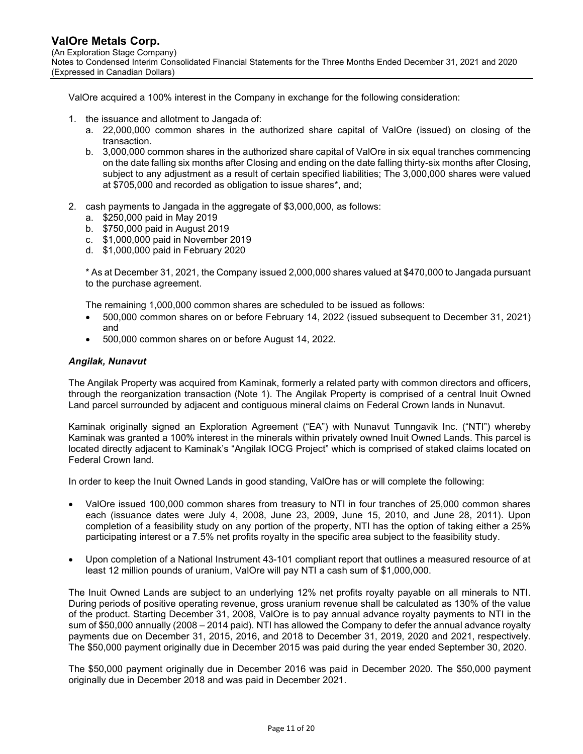ValOre acquired a 100% interest in the Company in exchange for the following consideration:

- 1. the issuance and allotment to Jangada of:
	- a. 22,000,000 common shares in the authorized share capital of ValOre (issued) on closing of the transaction.
	- b. 3,000,000 common shares in the authorized share capital of ValOre in six equal tranches commencing on the date falling six months after Closing and ending on the date falling thirty-six months after Closing, subject to any adjustment as a result of certain specified liabilities; The 3,000,000 shares were valued at \$705,000 and recorded as obligation to issue shares\*, and;
- 2. cash payments to Jangada in the aggregate of \$3,000,000, as follows:
	- a. \$250,000 paid in May 2019
	- b. \$750,000 paid in August 2019
	- c. \$1,000,000 paid in November 2019
	- d. \$1,000,000 paid in February 2020

\* As at December 31, 2021, the Company issued 2,000,000 shares valued at \$470,000 to Jangada pursuant to the purchase agreement.

The remaining 1,000,000 common shares are scheduled to be issued as follows:

- 500,000 common shares on or before February 14, 2022 (issued subsequent to December 31, 2021) and
- 500,000 common shares on or before August 14, 2022.

#### Angilak, Nunavut

The Angilak Property was acquired from Kaminak, formerly a related party with common directors and officers, through the reorganization transaction (Note 1). The Angilak Property is comprised of a central Inuit Owned Land parcel surrounded by adjacent and contiguous mineral claims on Federal Crown lands in Nunavut.

Kaminak originally signed an Exploration Agreement ("EA") with Nunavut Tunngavik Inc. ("NTI") whereby Kaminak was granted a 100% interest in the minerals within privately owned Inuit Owned Lands. This parcel is located directly adjacent to Kaminak's "Angilak IOCG Project" which is comprised of staked claims located on Federal Crown land.

In order to keep the Inuit Owned Lands in good standing, ValOre has or will complete the following:

- ValOre issued 100,000 common shares from treasury to NTI in four tranches of 25,000 common shares each (issuance dates were July 4, 2008, June 23, 2009, June 15, 2010, and June 28, 2011). Upon completion of a feasibility study on any portion of the property, NTI has the option of taking either a 25% participating interest or a 7.5% net profits royalty in the specific area subject to the feasibility study.
- Upon completion of a National Instrument 43-101 compliant report that outlines a measured resource of at least 12 million pounds of uranium, ValOre will pay NTI a cash sum of \$1,000,000.

The Inuit Owned Lands are subject to an underlying 12% net profits royalty payable on all minerals to NTI. During periods of positive operating revenue, gross uranium revenue shall be calculated as 130% of the value of the product. Starting December 31, 2008, ValOre is to pay annual advance royalty payments to NTI in the sum of \$50,000 annually (2008 – 2014 paid). NTI has allowed the Company to defer the annual advance royalty payments due on December 31, 2015, 2016, and 2018 to December 31, 2019, 2020 and 2021, respectively. The \$50,000 payment originally due in December 2015 was paid during the year ended September 30, 2020.

The \$50,000 payment originally due in December 2016 was paid in December 2020. The \$50,000 payment originally due in December 2018 and was paid in December 2021.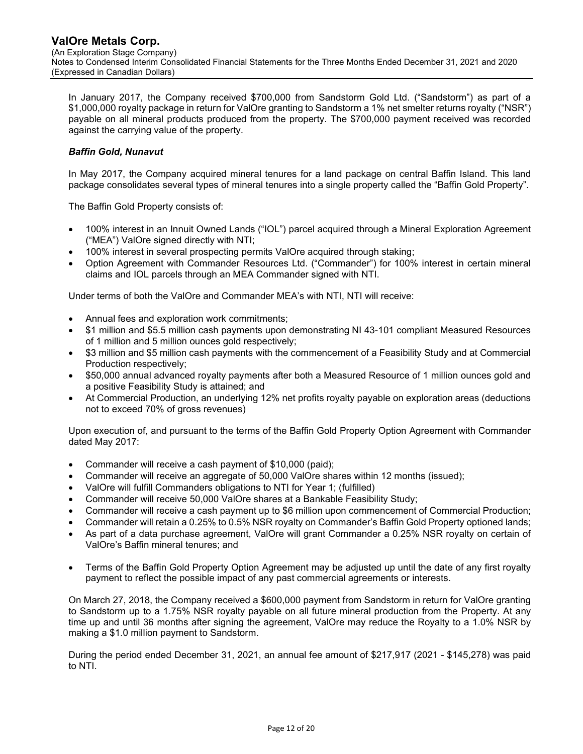In January 2017, the Company received \$700,000 from Sandstorm Gold Ltd. ("Sandstorm") as part of a \$1,000,000 royalty package in return for ValOre granting to Sandstorm a 1% net smelter returns royalty ("NSR") payable on all mineral products produced from the property. The \$700,000 payment received was recorded against the carrying value of the property.

# Baffin Gold, Nunavut

In May 2017, the Company acquired mineral tenures for a land package on central Baffin Island. This land package consolidates several types of mineral tenures into a single property called the "Baffin Gold Property".

The Baffin Gold Property consists of:

- 100% interest in an Innuit Owned Lands ("IOL") parcel acquired through a Mineral Exploration Agreement ("MEA") ValOre signed directly with NTI;
- 100% interest in several prospecting permits ValOre acquired through staking;
- Option Agreement with Commander Resources Ltd. ("Commander") for 100% interest in certain mineral claims and IOL parcels through an MEA Commander signed with NTI.

Under terms of both the ValOre and Commander MEA's with NTI, NTI will receive:

- Annual fees and exploration work commitments;
- \$1 million and \$5.5 million cash payments upon demonstrating NI 43-101 compliant Measured Resources of 1 million and 5 million ounces gold respectively;
- \$3 million and \$5 million cash payments with the commencement of a Feasibility Study and at Commercial Production respectively;
- \$50,000 annual advanced royalty payments after both a Measured Resource of 1 million ounces gold and a positive Feasibility Study is attained; and
- At Commercial Production, an underlying 12% net profits royalty payable on exploration areas (deductions not to exceed 70% of gross revenues)

Upon execution of, and pursuant to the terms of the Baffin Gold Property Option Agreement with Commander dated May 2017:

- Commander will receive a cash payment of \$10,000 (paid);
- Commander will receive an aggregate of 50,000 ValOre shares within 12 months (issued);
- ValOre will fulfill Commanders obligations to NTI for Year 1; (fulfilled)
- Commander will receive 50,000 ValOre shares at a Bankable Feasibility Study;
- Commander will receive a cash payment up to \$6 million upon commencement of Commercial Production;
- Commander will retain a 0.25% to 0.5% NSR royalty on Commander's Baffin Gold Property optioned lands;
- As part of a data purchase agreement, ValOre will grant Commander a 0.25% NSR royalty on certain of ValOre's Baffin mineral tenures; and
- Terms of the Baffin Gold Property Option Agreement may be adjusted up until the date of any first royalty payment to reflect the possible impact of any past commercial agreements or interests.

On March 27, 2018, the Company received a \$600,000 payment from Sandstorm in return for ValOre granting to Sandstorm up to a 1.75% NSR royalty payable on all future mineral production from the Property. At any time up and until 36 months after signing the agreement, ValOre may reduce the Royalty to a 1.0% NSR by making a \$1.0 million payment to Sandstorm.

During the period ended December 31, 2021, an annual fee amount of \$217,917 (2021 - \$145,278) was paid to NTI.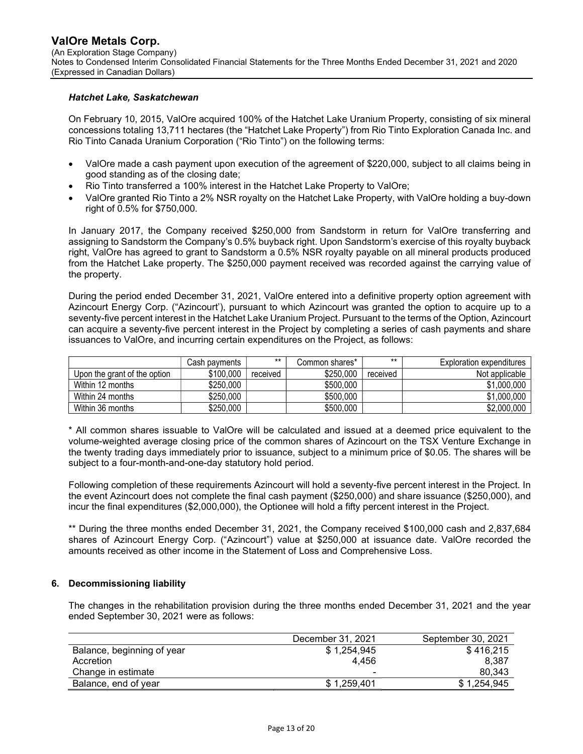#### Hatchet Lake, Saskatchewan

On February 10, 2015, ValOre acquired 100% of the Hatchet Lake Uranium Property, consisting of six mineral concessions totaling 13,711 hectares (the "Hatchet Lake Property") from Rio Tinto Exploration Canada Inc. and Rio Tinto Canada Uranium Corporation ("Rio Tinto") on the following terms:

- ValOre made a cash payment upon execution of the agreement of \$220,000, subject to all claims being in good standing as of the closing date;
- Rio Tinto transferred a 100% interest in the Hatchet Lake Property to ValOre;
- ValOre granted Rio Tinto a 2% NSR royalty on the Hatchet Lake Property, with ValOre holding a buy-down right of 0.5% for \$750,000.

In January 2017, the Company received \$250,000 from Sandstorm in return for ValOre transferring and assigning to Sandstorm the Company's 0.5% buyback right. Upon Sandstorm's exercise of this royalty buyback right, ValOre has agreed to grant to Sandstorm a 0.5% NSR royalty payable on all mineral products produced from the Hatchet Lake property. The \$250,000 payment received was recorded against the carrying value of the property.

During the period ended December 31, 2021, ValOre entered into a definitive property option agreement with Azincourt Energy Corp. ("Azincourt'), pursuant to which Azincourt was granted the option to acquire up to a seventy-five percent interest in the Hatchet Lake Uranium Project. Pursuant to the terms of the Option, Azincourt can acquire a seventy-five percent interest in the Project by completing a series of cash payments and share issuances to ValOre, and incurring certain expenditures on the Project, as follows:

|                              | Cash payments | $***$    | Common shares* | $**$     | Exploration expenditures |
|------------------------------|---------------|----------|----------------|----------|--------------------------|
| Upon the grant of the option | \$100,000     | received | \$250,000      | received | Not applicable           |
| Within 12 months             | \$250,000     |          | \$500,000      |          | \$1,000,000              |
| Within 24 months             | \$250,000     |          | \$500,000      |          | \$1,000,000              |
| Within 36 months             | \$250,000     |          | \$500,000      |          | \$2,000,000              |

\* All common shares issuable to ValOre will be calculated and issued at a deemed price equivalent to the volume-weighted average closing price of the common shares of Azincourt on the TSX Venture Exchange in the twenty trading days immediately prior to issuance, subject to a minimum price of \$0.05. The shares will be subject to a four-month-and-one-day statutory hold period.

Following completion of these requirements Azincourt will hold a seventy-five percent interest in the Project. In the event Azincourt does not complete the final cash payment (\$250,000) and share issuance (\$250,000), and incur the final expenditures (\$2,000,000), the Optionee will hold a fifty percent interest in the Project.

\*\* During the three months ended December 31, 2021, the Company received \$100,000 cash and 2,837,684 shares of Azincourt Energy Corp. ("Azincourt") value at \$250,000 at issuance date. ValOre recorded the amounts received as other income in the Statement of Loss and Comprehensive Loss.

## 6. Decommissioning liability

The changes in the rehabilitation provision during the three months ended December 31, 2021 and the year ended September 30, 2021 were as follows:

|                            | December 31, 2021 | September 30, 2021 |
|----------------------------|-------------------|--------------------|
| Balance, beginning of year | \$1,254,945       | \$416.215          |
| Accretion                  | 4.456             | 8.387              |
| Change in estimate         | -                 | 80,343             |
| Balance, end of year       | \$1,259,401       | \$1,254,945        |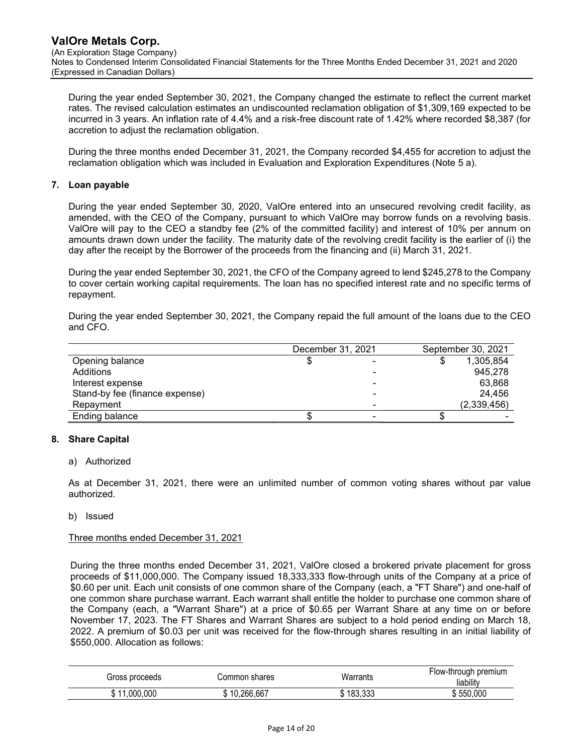During the year ended September 30, 2021, the Company changed the estimate to reflect the current market rates. The revised calculation estimates an undiscounted reclamation obligation of \$1,309,169 expected to be incurred in 3 years. An inflation rate of 4.4% and a risk-free discount rate of 1.42% where recorded \$8,387 (for accretion to adjust the reclamation obligation.

During the three months ended December 31, 2021, the Company recorded \$4,455 for accretion to adjust the reclamation obligation which was included in Evaluation and Exploration Expenditures (Note 5 a).

## 7. Loan payable

During the year ended September 30, 2020, ValOre entered into an unsecured revolving credit facility, as amended, with the CEO of the Company, pursuant to which ValOre may borrow funds on a revolving basis. ValOre will pay to the CEO a standby fee (2% of the committed facility) and interest of 10% per annum on amounts drawn down under the facility. The maturity date of the revolving credit facility is the earlier of (i) the day after the receipt by the Borrower of the proceeds from the financing and (ii) March 31, 2021.

During the year ended September 30, 2021, the CFO of the Company agreed to lend \$245,278 to the Company to cover certain working capital requirements. The loan has no specified interest rate and no specific terms of repayment.

During the year ended September 30, 2021, the Company repaid the full amount of the loans due to the CEO and CFO.

|                                | December 31, 2021 |   | September 30, 2021 |
|--------------------------------|-------------------|---|--------------------|
| Opening balance                | \$                |   | 1,305,854          |
| Additions                      |                   |   | 945.278            |
| Interest expense               |                   | - | 63.868             |
| Stand-by fee (finance expense) |                   | - | 24.456             |
| Repayment                      |                   | - | (2,339,456)        |
| Ending balance                 |                   |   |                    |

# 8. Share Capital

## a) Authorized

As at December 31, 2021, there were an unlimited number of common voting shares without par value authorized.

b) Issued

## Three months ended December 31, 2021

During the three months ended December 31, 2021, ValOre closed a brokered private placement for gross proceeds of \$11,000,000. The Company issued 18,333,333 flow-through units of the Company at a price of \$0.60 per unit. Each unit consists of one common share of the Company (each, a "FT Share") and one-half of one common share purchase warrant. Each warrant shall entitle the holder to purchase one common share of the Company (each, a "Warrant Share") at a price of \$0.65 per Warrant Share at any time on or before November 17, 2023. The FT Shares and Warrant Shares are subject to a hold period ending on March 18, 2022. A premium of \$0.03 per unit was received for the flow-through shares resulting in an initial liability of \$550,000. Allocation as follows:

| Gross proceeds                           | Common shares | Warrants                 | Flow-through premium<br>liability |
|------------------------------------------|---------------|--------------------------|-----------------------------------|
| 000.000<br>$\overline{\phantom{a}}$<br>w | 10,266,667    | $\sim$<br>100<br>טטט.טטו | 550,000                           |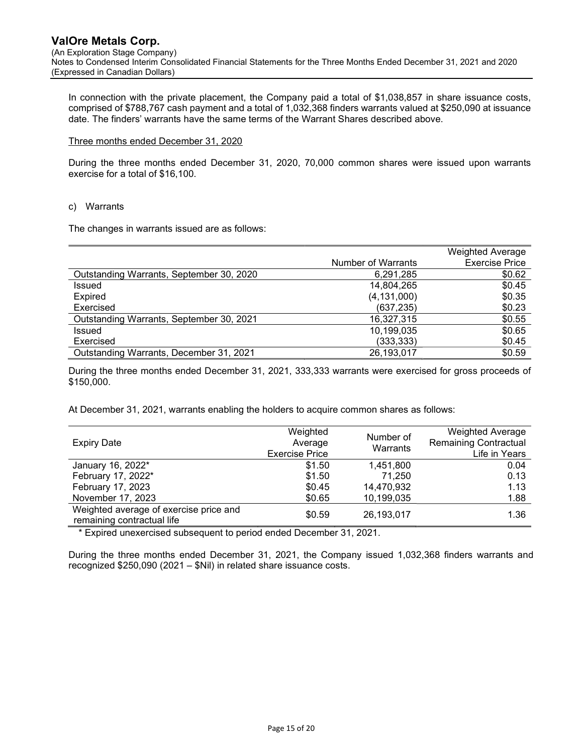In connection with the private placement, the Company paid a total of \$1,038,857 in share issuance costs, comprised of \$788,767 cash payment and a total of 1,032,368 finders warrants valued at \$250,090 at issuance date. The finders' warrants have the same terms of the Warrant Shares described above.

#### Three months ended December 31, 2020

During the three months ended December 31, 2020, 70,000 common shares were issued upon warrants exercise for a total of \$16,100.

#### c) Warrants

The changes in warrants issued are as follows:

|                                          |                    | <b>Weighted Average</b> |
|------------------------------------------|--------------------|-------------------------|
|                                          | Number of Warrants | <b>Exercise Price</b>   |
| Outstanding Warrants, September 30, 2020 | 6,291,285          | \$0.62                  |
| <b>Issued</b>                            | 14,804,265         | \$0.45                  |
| <b>Expired</b>                           | (4, 131, 000)      | \$0.35                  |
| Exercised                                | (637, 235)         | \$0.23                  |
| Outstanding Warrants, September 30, 2021 | 16,327,315         | \$0.55                  |
| Issued                                   | 10,199,035         | \$0.65                  |
| Exercised                                | (333, 333)         | \$0.45                  |
| Outstanding Warrants, December 31, 2021  | 26,193,017         | \$0.59                  |

During the three months ended December 31, 2021, 333,333 warrants were exercised for gross proceeds of \$150,000.

At December 31, 2021, warrants enabling the holders to acquire common shares as follows:

| <b>Expiry Date</b>                                                   | Weighted<br>Average<br><b>Exercise Price</b> | Number of<br>Warrants | <b>Weighted Average</b><br><b>Remaining Contractual</b><br>Life in Years |
|----------------------------------------------------------------------|----------------------------------------------|-----------------------|--------------------------------------------------------------------------|
| January 16, 2022*                                                    | \$1.50                                       | 1,451,800             | 0.04                                                                     |
| February 17, 2022*                                                   | \$1.50                                       | 71,250                | 0.13                                                                     |
| February 17, 2023                                                    | \$0.45                                       | 14,470,932            | 1.13                                                                     |
| November 17, 2023                                                    | \$0.65                                       | 10,199,035            | 1.88                                                                     |
| Weighted average of exercise price and<br>remaining contractual life | \$0.59                                       | 26,193,017            | 1.36                                                                     |

\* Expired unexercised subsequent to period ended December 31, 2021.

During the three months ended December 31, 2021, the Company issued 1,032,368 finders warrants and recognized \$250,090 (2021 – \$Nil) in related share issuance costs.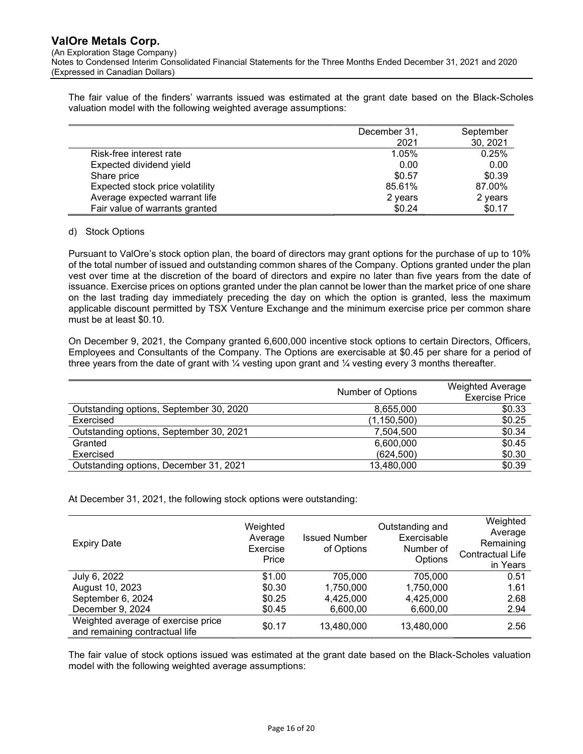(An Exploration Stage Company)

Notes to Condensed Interim Consolidated Financial Statements for the Three Months Ended December 31, 2021 and 2020 (Expressed in Canadian Dollars)

The fair value of the finders' warrants issued was estimated at the grant date based on the Black-Scholes valuation model with the following weighted average assumptions:

|                                 | December 31, | September |
|---------------------------------|--------------|-----------|
|                                 | 2021         | 30, 2021  |
| Risk-free interest rate         | 1.05%        | 0.25%     |
| Expected dividend yield         | 0.00         | 0.00      |
| Share price                     | \$0.57       | \$0.39    |
| Expected stock price volatility | 85.61%       | 87.00%    |
| Average expected warrant life   | 2 years      | 2 years   |
| Fair value of warrants granted  | \$0.24       | \$0.17    |

## d) Stock Options

Pursuant to ValOre's stock option plan, the board of directors may grant options for the purchase of up to 10% of the total number of issued and outstanding common shares of the Company. Options granted under the plan vest over time at the discretion of the board of directors and expire no later than five years from the date of issuance. Exercise prices on options granted under the plan cannot be lower than the market price of one share on the last trading day immediately preceding the day on which the option is granted, less the maximum applicable discount permitted by TSX Venture Exchange and the minimum exercise price per common share must be at least \$0.10.

On December 9, 2021, the Company granted 6,600,000 incentive stock options to certain Directors, Officers, Employees and Consultants of the Company. The Options are exercisable at \$0.45 per share for a period of three years from the date of grant with  $\frac{1}{4}$  vesting upon grant and  $\frac{1}{4}$  vesting every 3 months thereafter.

|                                         | Number of Options | <b>Weighted Average</b><br><b>Exercise Price</b> |
|-----------------------------------------|-------------------|--------------------------------------------------|
| Outstanding options, September 30, 2020 | 8,655,000         | \$0.33                                           |
| Exercised                               | (1,150,500)       | \$0.25                                           |
| Outstanding options, September 30, 2021 | 7,504,500         | \$0.34                                           |
| Granted                                 | 6,600,000         | \$0.45                                           |
| Exercised                               | (624, 500)        | \$0.30                                           |
| Outstanding options, December 31, 2021  | 13,480,000        | \$0.39                                           |

At December 31, 2021, the following stock options were outstanding:

| <b>Expiry Date</b>                                                   | Weighted<br>Average<br>Exercise<br>Price | <b>Issued Number</b><br>of Options | Outstanding and<br>Exercisable<br>Number of<br>Options | Weighted<br>Average<br>Remaining<br>Contractual Life<br>in Years |
|----------------------------------------------------------------------|------------------------------------------|------------------------------------|--------------------------------------------------------|------------------------------------------------------------------|
| July 6, 2022                                                         | \$1.00                                   | 705.000                            | 705,000                                                | 0.51                                                             |
| August 10, 2023                                                      | \$0.30                                   | 1,750,000                          | 1,750,000                                              | 1.61                                                             |
| September 6, 2024                                                    | \$0.25                                   | 4,425,000                          | 4,425,000                                              | 2.68                                                             |
| December 9, 2024                                                     | \$0.45                                   | 6,600,00                           | 6,600,00                                               | 2.94                                                             |
| Weighted average of exercise price<br>and remaining contractual life | \$0.17                                   | 13,480,000                         | 13,480,000                                             | 2.56                                                             |

The fair value of stock options issued was estimated at the grant date based on the Black-Scholes valuation model with the following weighted average assumptions: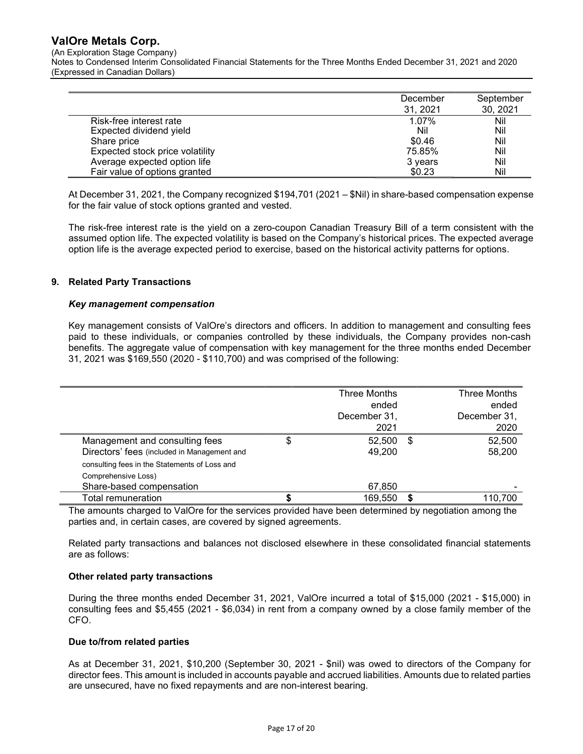(An Exploration Stage Company)

Notes to Condensed Interim Consolidated Financial Statements for the Three Months Ended December 31, 2021 and 2020 (Expressed in Canadian Dollars)

|                                 | December<br>31, 2021 | September<br>30, 2021 |
|---------------------------------|----------------------|-----------------------|
| Risk-free interest rate         | 1.07%                | Nil                   |
| Expected dividend yield         | Nil                  | Nil                   |
| Share price                     | \$0.46               | Nil                   |
| Expected stock price volatility | 75.85%               | Nil                   |
| Average expected option life    | 3 years              | Nil                   |
| Fair value of options granted   | \$0.23               | Nil                   |

At December 31, 2021, the Company recognized \$194,701 (2021 – \$Nil) in share-based compensation expense for the fair value of stock options granted and vested.

The risk-free interest rate is the yield on a zero-coupon Canadian Treasury Bill of a term consistent with the assumed option life. The expected volatility is based on the Company's historical prices. The expected average option life is the average expected period to exercise, based on the historical activity patterns for options.

## 9. Related Party Transactions

## Key management compensation

Key management consists of ValOre's directors and officers. In addition to management and consulting fees paid to these individuals, or companies controlled by these individuals, the Company provides non-cash benefits. The aggregate value of compensation with key management for the three months ended December 31, 2021 was \$169,550 (2020 - \$110,700) and was comprised of the following:

|                                               | Three Months | Three Months |
|-----------------------------------------------|--------------|--------------|
|                                               | ended        | ended        |
|                                               | December 31, | December 31, |
|                                               | 2021         | 2020         |
| Management and consulting fees                | \$<br>52,500 | \$<br>52,500 |
| Directors' fees (included in Management and   | 49,200       | 58,200       |
| consulting fees in the Statements of Loss and |              |              |
| Comprehensive Loss)                           |              |              |
| Share-based compensation                      | 67,850       |              |
| Total remuneration                            | 169.550      | 110.700      |

The amounts charged to ValOre for the services provided have been determined by negotiation among the parties and, in certain cases, are covered by signed agreements.

Related party transactions and balances not disclosed elsewhere in these consolidated financial statements are as follows:

## Other related party transactions

During the three months ended December 31, 2021, ValOre incurred a total of \$15,000 (2021 - \$15,000) in consulting fees and \$5,455 (2021 - \$6,034) in rent from a company owned by a close family member of the CFO.

## Due to/from related parties

As at December 31, 2021, \$10,200 (September 30, 2021 - \$nil) was owed to directors of the Company for director fees. This amount is included in accounts payable and accrued liabilities. Amounts due to related parties are unsecured, have no fixed repayments and are non-interest bearing.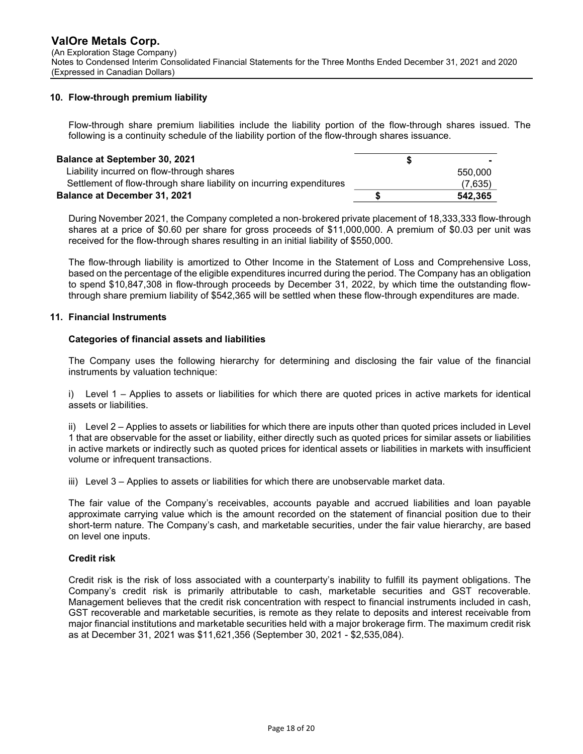## 10. Flow-through premium liability

Flow-through share premium liabilities include the liability portion of the flow-through shares issued. The following is a continuity schedule of the liability portion of the flow-through shares issuance.

| <b>Balance at September 30, 2021</b>                                 |         |
|----------------------------------------------------------------------|---------|
| Liability incurred on flow-through shares                            | 550,000 |
| Settlement of flow-through share liability on incurring expenditures | (7,635) |
| <b>Balance at December 31, 2021</b>                                  | 542.365 |

During November 2021, the Company completed a non‐brokered private placement of 18,333,333 flow-through shares at a price of \$0.60 per share for gross proceeds of \$11,000,000. A premium of \$0.03 per unit was received for the flow-through shares resulting in an initial liability of \$550,000.

The flow-through liability is amortized to Other Income in the Statement of Loss and Comprehensive Loss, based on the percentage of the eligible expenditures incurred during the period. The Company has an obligation to spend \$10,847,308 in flow-through proceeds by December 31, 2022, by which time the outstanding flowthrough share premium liability of \$542,365 will be settled when these flow-through expenditures are made.

#### 11. Financial Instruments

#### Categories of financial assets and liabilities

The Company uses the following hierarchy for determining and disclosing the fair value of the financial instruments by valuation technique:

i) Level 1 – Applies to assets or liabilities for which there are quoted prices in active markets for identical assets or liabilities.

ii) Level 2 – Applies to assets or liabilities for which there are inputs other than quoted prices included in Level 1 that are observable for the asset or liability, either directly such as quoted prices for similar assets or liabilities in active markets or indirectly such as quoted prices for identical assets or liabilities in markets with insufficient volume or infrequent transactions.

iii) Level 3 – Applies to assets or liabilities for which there are unobservable market data.

The fair value of the Company's receivables, accounts payable and accrued liabilities and loan payable approximate carrying value which is the amount recorded on the statement of financial position due to their short-term nature. The Company's cash, and marketable securities, under the fair value hierarchy, are based on level one inputs.

## Credit risk

Credit risk is the risk of loss associated with a counterparty's inability to fulfill its payment obligations. The Company's credit risk is primarily attributable to cash, marketable securities and GST recoverable. Management believes that the credit risk concentration with respect to financial instruments included in cash, GST recoverable and marketable securities, is remote as they relate to deposits and interest receivable from major financial institutions and marketable securities held with a major brokerage firm. The maximum credit risk as at December 31, 2021 was \$11,621,356 (September 30, 2021 - \$2,535,084).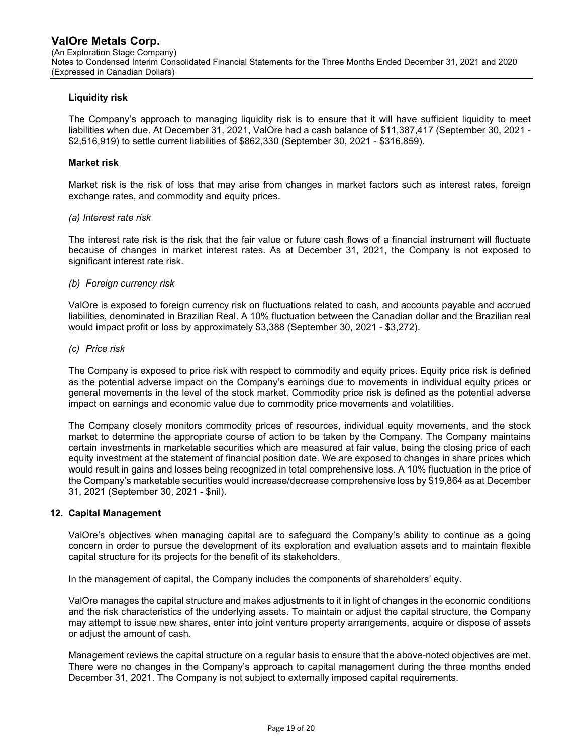## Liquidity risk

The Company's approach to managing liquidity risk is to ensure that it will have sufficient liquidity to meet liabilities when due. At December 31, 2021, ValOre had a cash balance of \$11,387,417 (September 30, 2021 - \$2,516,919) to settle current liabilities of \$862,330 (September 30, 2021 - \$316,859).

## Market risk

Market risk is the risk of loss that may arise from changes in market factors such as interest rates, foreign exchange rates, and commodity and equity prices.

#### (a) Interest rate risk

The interest rate risk is the risk that the fair value or future cash flows of a financial instrument will fluctuate because of changes in market interest rates. As at December 31, 2021, the Company is not exposed to significant interest rate risk.

#### (b) Foreign currency risk

ValOre is exposed to foreign currency risk on fluctuations related to cash, and accounts payable and accrued liabilities, denominated in Brazilian Real. A 10% fluctuation between the Canadian dollar and the Brazilian real would impact profit or loss by approximately \$3,388 (September 30, 2021 - \$3,272).

#### (c) Price risk

The Company is exposed to price risk with respect to commodity and equity prices. Equity price risk is defined as the potential adverse impact on the Company's earnings due to movements in individual equity prices or general movements in the level of the stock market. Commodity price risk is defined as the potential adverse impact on earnings and economic value due to commodity price movements and volatilities.

The Company closely monitors commodity prices of resources, individual equity movements, and the stock market to determine the appropriate course of action to be taken by the Company. The Company maintains certain investments in marketable securities which are measured at fair value, being the closing price of each equity investment at the statement of financial position date. We are exposed to changes in share prices which would result in gains and losses being recognized in total comprehensive loss. A 10% fluctuation in the price of the Company's marketable securities would increase/decrease comprehensive loss by \$19,864 as at December 31, 2021 (September 30, 2021 - \$nil).

## 12. Capital Management

ValOre's objectives when managing capital are to safeguard the Company's ability to continue as a going concern in order to pursue the development of its exploration and evaluation assets and to maintain flexible capital structure for its projects for the benefit of its stakeholders.

In the management of capital, the Company includes the components of shareholders' equity.

ValOre manages the capital structure and makes adjustments to it in light of changes in the economic conditions and the risk characteristics of the underlying assets. To maintain or adjust the capital structure, the Company may attempt to issue new shares, enter into joint venture property arrangements, acquire or dispose of assets or adjust the amount of cash.

Management reviews the capital structure on a regular basis to ensure that the above-noted objectives are met. There were no changes in the Company's approach to capital management during the three months ended December 31, 2021. The Company is not subject to externally imposed capital requirements.